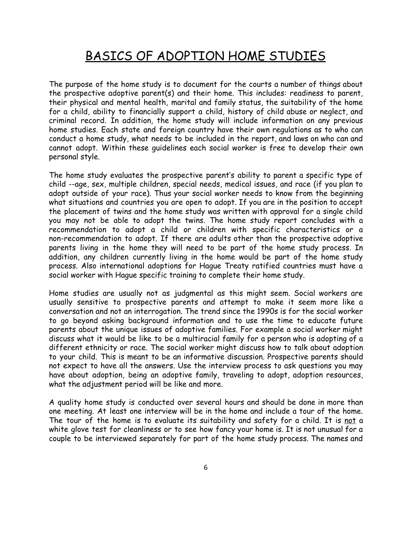## BASICS OF ADOPTION HOME STUDIES

The purpose of the home study is to document for the courts a number of things about the prospective adoptive parent(s) and their home. This includes: readiness to parent, their physical and mental health, marital and family status, the suitability of the home for a child, ability to financially support a child, history of child abuse or neglect, and criminal record. In addition, the home study will include information on any previous home studies. Each state and foreign country have their own regulations as to who can conduct a home study, what needs to be included in the report, and laws on who can and cannot adopt. Within these guidelines each social worker is free to develop their own personal style.

The home study evaluates the prospective parent's ability to parent a specific type of child --age, sex, multiple children, special needs, medical issues, and race (if you plan to adopt outside of your race). Thus your social worker needs to know from the beginning what situations and countries you are open to adopt. If you are in the position to accept the placement of twins and the home study was written with approval for a single child you may not be able to adopt the twins. The home study report concludes with a recommendation to adopt a child or children with specific characteristics or a non-recommendation to adopt. If there are adults other than the prospective adoptive parents living in the home they will need to be part of the home study process. In addition, any children currently living in the home would be part of the home study process. Also international adoptions for Hague Treaty ratified countries must have a social worker with Hague specific training to complete their home study.

Home studies are usually not as judgmental as this might seem. Social workers are usually sensitive to prospective parents and attempt to make it seem more like a conversation and not an interrogation. The trend since the 1990s is for the social worker to go beyond asking background information and to use the time to educate future parents about the unique issues of adoptive families. For example a social worker might discuss what it would be like to be a multiracial family for a person who is adopting of a different ethnicity or race. The social worker might discuss how to talk about adoption to your child. This is meant to be an informative discussion. Prospective parents should not expect to have all the answers. Use the interview process to ask questions you may have about adoption, being an adoptive family, traveling to adopt, adoption resources, what the adjustment period will be like and more.

A quality home study is conducted over several hours and should be done in more than one meeting. At least one interview will be in the home and include a tour of the home. The tour of the home is to evaluate its suitability and safety for a child. It is not a white glove test for cleanliness or to see how fancy your home is. It is not unusual for a couple to be interviewed separately for part of the home study process. The names and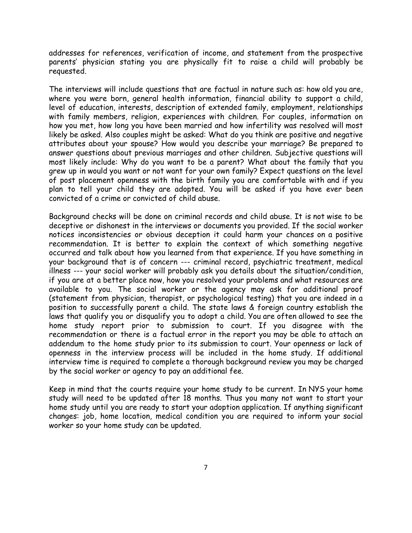addresses for references, verification of income, and statement from the prospective parents' physician stating you are physically fit to raise a child will probably be requested.

The interviews will include questions that are factual in nature such as: how old you are, where you were born, general health information, financial ability to support a child, level of education, interests, description of extended family, employment, relationships with family members, religion, experiences with children. For couples, information on how you met, how long you have been married and how infertility was resolved will most likely be asked. Also couples might be asked: What do you think are positive and negative attributes about your spouse? How would you describe your marriage? Be prepared to answer questions about previous marriages and other children. Subjective questions will most likely include: Why do you want to be a parent? What about the family that you grew up in would you want or not want for your own family? Expect questions on the level of post placement openness with the birth family you are comfortable with and if you plan to tell your child they are adopted. You will be asked if you have ever been convicted of a crime or convicted of child abuse.

Background checks will be done on criminal records and child abuse. It is not wise to be deceptive or dishonest in the interviews or documents you provided. If the social worker notices inconsistencies or obvious deception it could harm your chances on a positive recommendation. It is better to explain the context of which something negative occurred and talk about how you learned from that experience. If you have something in your background that is of concern --- criminal record, psychiatric treatment, medical illness --- your social worker will probably ask you details about the situation/condition, if you are at a better place now, how you resolved your problems and what resources are available to you. The social worker or the agency may ask for additional proof (statement from physician, therapist, or psychological testing) that you are indeed in a position to successfully parent a child. The state laws & foreign country establish the laws that qualify you or disqualify you to adopt a child. You are often allowed to see the home study report prior to submission to court. If you disagree with the recommendation or there is a factual error in the report you may be able to attach an addendum to the home study prior to its submission to court. Your openness or lack of openness in the interview process will be included in the home study. If additional interview time is required to complete a thorough background review you may be charged by the social worker or agency to pay an additional fee.

Keep in mind that the courts require your home study to be current. In NYS your home study will need to be updated after 18 months. Thus you many not want to start your home study until you are ready to start your adoption application. If anything significant changes: job, home location, medical condition you are required to inform your social worker so your home study can be updated.